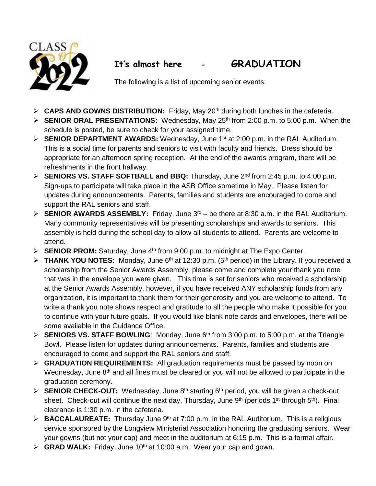

## **It's almost here - GRADUATION**

The following is a list of upcoming senior events:

- **CAPS AND GOWNS DISTRIBUTION:** Friday, May 20<sup>th</sup> during both lunches in the cafeteria.
- **SENIOR ORAL PRESENTATIONS:** Wednesday, May 25<sup>th</sup> from 2:00 p.m. to 5:00 p.m. When the schedule is posted, be sure to check for your assigned time.
- **SENIOR DEPARTMENT AWARDS:** Wednesday, June 1<sup>st</sup> at 2:00 p.m. in the RAL Auditorium. This is a social time for parents and seniors to visit with faculty and friends. Dress should be appropriate for an afternoon spring reception. At the end of the awards program, there will be refreshments in the front hallway.
- **SENIORS VS. STAFF SOFTBALL and BBQ:** Thursday, June 2nd from 2:45 p.m. to 4:00 p.m. Sign-ups to participate will take place in the ASB Office sometime in May. Please listen for updates during announcements. Parents, families and students are encouraged to come and support the RAL seniors and staff.
- **SENIOR AWARDS ASSEMBLY:** Friday, June 3 rd be there at 8:30 a.m. in the RAL Auditorium. Many community representatives will be presenting scholarships and awards to seniors. This assembly is held during the school day to allow all students to attend. Parents are welcome to attend.
- $\triangleright$  **SENIOR PROM:** Saturday, June 4<sup>th</sup> from 9:00 p.m. to midnight at The Expo Center.
- $\triangleright$  **THANK YOU NOTES:** Monday, June 6<sup>th</sup> at 12:30 p.m. (5<sup>th</sup> period) in the Library. If you received a scholarship from the Senior Awards Assembly, please come and complete your thank you note that was in the envelope you were given. This time is set for seniors who received a scholarship at the Senior Awards Assembly, however, if you have received ANY scholarship funds from any organization, it is important to thank them for their generosity and you are welcome to attend. To write a thank you note shows respect and gratitude to all the people who make it possible for you to continue with your future goals. If you would like blank note cards and envelopes, there will be some available in the Guidance Office.
- **SENIORS VS. STAFF BOWLING**: Monday, June 6th from 3:00 p.m. to 5:00 p.m. at the Triangle Bowl. Please listen for updates during announcements. Parents, families and students are encouraged to come and support the RAL seniors and staff.
- **► GRADUATION REQUIREMENTS:** All graduation requirements must be passed by noon on Wednesday, June 8<sup>th</sup> and all fines must be cleared or you will not be allowed to participate in the graduation ceremony.
- **ENIOR CHECK-OUT:** Wednesday, June 8<sup>th</sup> starting 6<sup>th</sup> period, you will be given a check-out >> sheet. Check-out will continue the next day, Thursday, June 9<sup>th</sup> (periods 1<sup>st</sup> through 5<sup>th</sup>). Final clearance is 1:30 p.m. in the cafeteria.
- **► BACCALAUREATE:** Thursday June 9<sup>th</sup> at 7:00 p.m. in the RAL Auditorium. This is a religious service sponsored by the Longview Ministerial Association honoring the graduating seniors. Wear your gowns (but not your cap) and meet in the auditorium at 6:15 p.m. This is a formal affair.
- **GRAD WALK:** Friday, June 10th at 10:00 a.m. Wear your cap and gown.